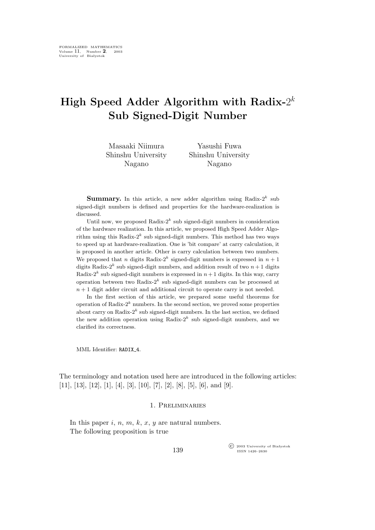# **High Speed Adder Algorithm with Radix-**2 k **Sub Signed-Digit Number**

| Masaaki Niimura    | Yasushi Fuwa       |
|--------------------|--------------------|
| Shinshu University | Shinshu University |
| Nagano             | Nagano             |

**Summary.** In this article, a new adder algorithm using Radix- $2^k$  sub signed-digit numbers is defined and properties for the hardware-realization is discussed.

Until now, we proposed Radix- $2^k$  sub signed-digit numbers in consideration of the hardware realization. In this article, we proposed High Speed Adder Algorithm using this Radix- $2^k$  sub signed-digit numbers. This method has two ways to speed up at hardware-realization. One is 'bit compare' at carry calculation, it is proposed in another article. Other is carry calculation between two numbers. We proposed that *n* digits Radix-2<sup>k</sup> signed-digit numbers is expressed in  $n + 1$ digits Radix-2<sup>k</sup> sub signed-digit numbers, and addition result of two  $n+1$  digits Radix-2<sup>k</sup> sub signed-digit numbers is expressed in  $n+1$  digits. In this way, carry operation between two Radix- $2^k$  sub signed-digit numbers can be processed at  $n + 1$  digit adder circuit and additional circuit to operate carry is not needed.

In the first section of this article, we prepared some useful theorems for operation of Radix- $2^k$  numbers. In the second section, we proved some properties about carry on Radix- $2^k$  sub signed-digit numbers. In the last section, we defined the new addition operation using Radix- $2^k$  sub signed-digit numbers, and we clarified its correctness.

MML Identifier: RADIX\_4.

The terminology and notation used here are introduced in the following articles: [11], [13], [12], [1], [4], [3], [10], [7], [2], [8], [5], [6], and [9].

#### 1. Preliminaries

In this paper  $i, n, m, k, x, y$  are natural numbers. The following proposition is true

> °c 2003 University of Białystok ISSN 1426–2630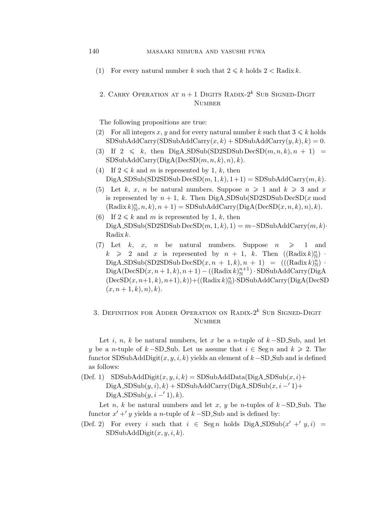(1) For every natural number k such that  $2 \le k$  holds  $2 <$  Radix k.

### 2. CARRY OPERATION AT  $n+1$  DIGITS RADIX- $2^k$  SUB SIGNED-DIGIT **NUMBER**

The following propositions are true:

- (2) For all integers x, y and for every natural number k such that  $3 \leq k$  holds  $SDSubAddCarry(SDSubAddCarry(x, k) + SDSubAddCarry(y, k), k) = 0.$
- (3) If  $2 \leq k$ , then DigA\_SDSub(SD2SDSub DecSD $(m, n, k), n + 1$ ) =  $SDSubAddCarry(DigA(DecSD(m, n, k), n), k).$
- (4) If  $2 \leq k$  and m is represented by 1, k, then  $DiqA$  SDSub(SD2SDSub DecSD $(m, 1, k)$ ,  $1+1$ ) = SDSubAddCarry $(m, k)$ .
- (5) Let k, x, n be natural numbers. Suppose  $n \geq 1$  and  $k \geq 3$  and x is represented by  $n + 1$ , k. Then DigA\_SDSub(SD2SDSub DecSD(x mod  $(Radix k)_{\mathbb{N}}^n, n, k), n + 1$  = SDSubAddCarry(DigA(DecSD $(x, n, k), n), k$ ).
- (6) If  $2 \leq k$  and m is represented by 1, k, then DigA\_SDSub(SD2SDSub DecSD $(m, 1, k)$ , 1) =  $m$ −SDSubAddCarry $(m, k)$ *·* Radix k.
- (7) Let k, x, n be natural numbers. Suppose  $n \geq 1$  and  $k \geqslant 2$  and x is represented by  $n + 1$ , k. Then  $((\text{Radix } k)_{\mathbb{N}}^n)$ .  $\text{DiagA}.\text{SDSub}(\text{SD2SDSub}\,\text{DecSD}(x,n+1,k),n+1) = (((\text{Radix}\,k)_{\text{N}}^{n})$  $\mathrm{Diag}A(\mathrm{DecSD}(x,n+1,k),n+1)-((\mathrm{Radix}\,k)^{n+1}_{\mathbb{N}})\cdot \mathrm{SDSubAddCarry}(\widetilde{\mathrm{Diag}}A)$  $(DecSD(x, n+1, k), n+1), k)$  +  $((Radix k)_\mathbb{N}^n)$ ·SDSubAddCarry(DigA(DecSD)  $(x, n+1, k), n), k$ .

## 3. DEFINITION FOR ADDER OPERATION ON RADIX- $2^k$  Sub Signed-Digit **NUMBER**

Let i, n, k be natural numbers, let x be a n-tuple of  $k$  −SD\_Sub, and let *y* be a *n*-tuple of k −SD\_Sub. Let us assume that  $i \in \text{Seg } n$  and  $k \ge 2$ . The functor SDSubAddDigit(x,y, i,k) yields an element of k *−*SD Sub and is defined as follows:

(Def. 1)  $SDSubAddDigit(x, y, i, k) = SDSubAddData(DigA_SDSub(x, i) +$  $\text{DiqA}.\text{SDSub}(y, i), k) + \text{SDSubAddCarry}(\text{DiqA}.\text{SDSub}(x, i - 1) +$ DigA\_SDSub $(y, i - 1), k$ .

Let *n*, k be natural numbers and let x, y be *n*-tuples of  $k$  −SD\_Sub. The functor  $x' +' y$  yields a *n*-tuple of  $k - SD$  Sub and is defined by:

(Def. 2) For every i such that  $i \in \text{Seg } n$  holds  $\text{Di}gA$ ,  $\text{SDSub}(x' + 'y, i) =$  $SDSubAddDigit(x, y, i, k).$